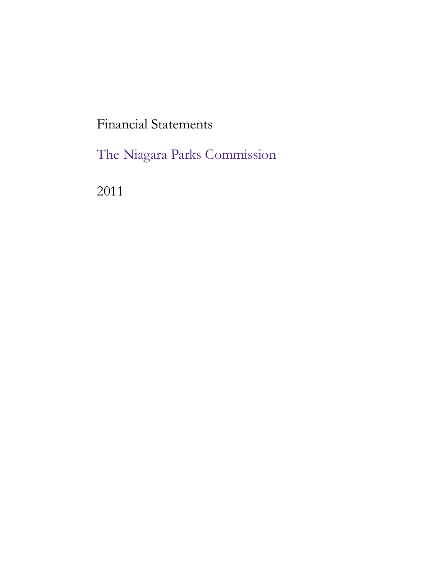Financial Statements

The Niagara Parks Commission

2011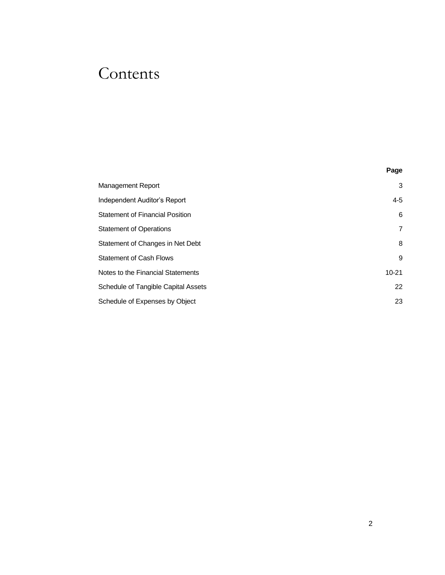# Contents

|                                        | Page      |
|----------------------------------------|-----------|
| Management Report                      | 3         |
| Independent Auditor's Report           | $4 - 5$   |
| <b>Statement of Financial Position</b> | 6         |
| <b>Statement of Operations</b>         | 7         |
| Statement of Changes in Net Debt       | 8         |
| <b>Statement of Cash Flows</b>         | 9         |
| Notes to the Financial Statements      | $10 - 21$ |
| Schedule of Tangible Capital Assets    | 22        |
| Schedule of Expenses by Object         | 23        |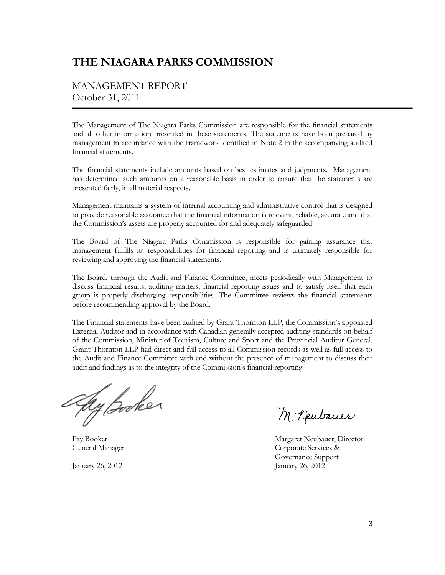### **THE NIAGARA PARKS COMMISSION**

### MANAGEMENT REPORT October 31, 2011

The Management of The Niagara Parks Commission are responsible for the financial statements and all other information presented in these statements. The statements have been prepared by management in accordance with the framework identified in Note 2 in the accompanying audited financial statements.

The financial statements include amounts based on best estimates and judgments. Management has determined such amounts on a reasonable basis in order to ensure that the statements are presented fairly, in all material respects.

Management maintains a system of internal accounting and administrative control that is designed to provide reasonable assurance that the financial information is relevant, reliable, accurate and that the Commission's assets are properly accounted for and adequately safeguarded.

The Board of The Niagara Parks Commission is responsible for gaining assurance that management fulfills its responsibilities for financial reporting and is ultimately responsible for reviewing and approving the financial statements.

The Board, through the Audit and Finance Committee, meets periodically with Management to discuss financial results, auditing matters, financial reporting issues and to satisfy itself that each group is properly discharging responsibilities. The Committee reviews the financial statements before recommending approval by the Board.

The Financial statements have been audited by Grant Thornton LLP, the Commission's appointed External Auditor and in accordance with Canadian generally accepted auditing standards on behalf of the Commission, Minister of Tourism, Culture and Sport and the Provincial Auditor General. Grant Thornton LLP had direct and full access to all Commission records as well as full access to the Audit and Finance Committee with and without the presence of management to discuss their audit and findings as to the integrity of the Commission's financial reporting.

Ay Booker

January 26, 2012 January 26, 2012

M. Deubauer

Fay Booker Margaret Neubauer, Director General Manager Corporate Services & Governance Support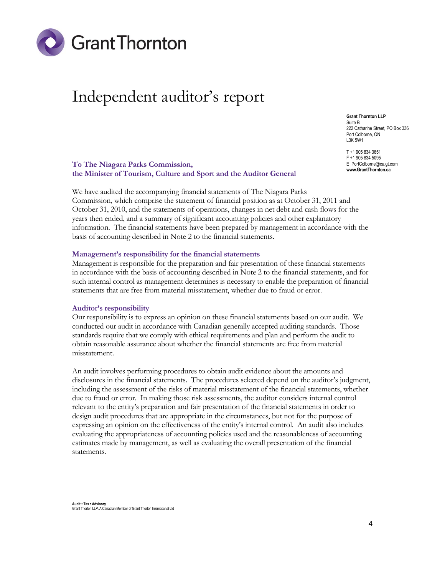

# Independent auditor's report

**Grant Thornton LLP** Suite B 222 Catharine Street, PO Box 336 Port Colborne, ON L3K 5W1

T +1 905 834 3651 F +1 905 834 5095 E PortColborne@ca.gt.com **www.GrantThornton.ca**

#### **To The Niagara Parks Commission, the Minister of Tourism, Culture and Sport and the Auditor General**

We have audited the accompanying financial statements of The Niagara Parks Commission, which comprise the statement of financial position as at October 31, 2011 and October 31, 2010, and the statements of operations, changes in net debt and cash flows for the years then ended, and a summary of significant accounting policies and other explanatory information. The financial statements have been prepared by management in accordance with the basis of accounting described in Note 2 to the financial statements.

#### **Management's responsibility for the financial statements**

Management is responsible for the preparation and fair presentation of these financial statements in accordance with the basis of accounting described in Note 2 to the financial statements, and for such internal control as management determines is necessary to enable the preparation of financial statements that are free from material misstatement, whether due to fraud or error.

#### **Auditor's responsibility**

Our responsibility is to express an opinion on these financial statements based on our audit. We conducted our audit in accordance with Canadian generally accepted auditing standards. Those standards require that we comply with ethical requirements and plan and perform the audit to obtain reasonable assurance about whether the financial statements are free from material misstatement.

An audit involves performing procedures to obtain audit evidence about the amounts and disclosures in the financial statements. The procedures selected depend on the auditor's judgment, including the assessment of the risks of material misstatement of the financial statements, whether due to fraud or error. In making those risk assessments, the auditor considers internal control relevant to the entity's preparation and fair presentation of the financial statements in order to design audit procedures that are appropriate in the circumstances, but not for the purpose of expressing an opinion on the effectiveness of the entity's internal control. An audit also includes evaluating the appropriateness of accounting policies used and the reasonableness of accounting estimates made by management, as well as evaluating the overall presentation of the financial statements.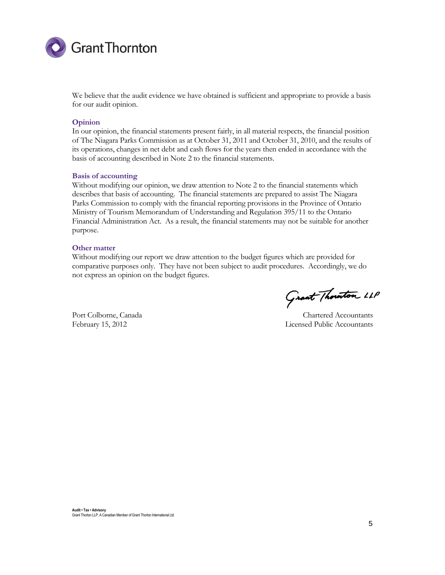

We believe that the audit evidence we have obtained is sufficient and appropriate to provide a basis for our audit opinion.

#### **Opinion**

In our opinion, the financial statements present fairly, in all material respects, the financial position of The Niagara Parks Commission as at October 31, 2011 and October 31, 2010, and the results of its operations, changes in net debt and cash flows for the years then ended in accordance with the basis of accounting described in Note 2 to the financial statements.

#### **Basis of accounting**

Without modifying our opinion, we draw attention to Note 2 to the financial statements which describes that basis of accounting. The financial statements are prepared to assist The Niagara Parks Commission to comply with the financial reporting provisions in the Province of Ontario Ministry of Tourism Memorandum of Understanding and Regulation 395/11 to the Ontario Financial Administration Act. As a result, the financial statements may not be suitable for another purpose.

#### **Other matter**

Without modifying our report we draw attention to the budget figures which are provided for comparative purposes only. They have not been subject to audit procedures. Accordingly, we do not express an opinion on the budget figures.

Grant Thouton LLP

Port Colborne, Canada Chartered Accountants February 15, 2012 Licensed Public Accountants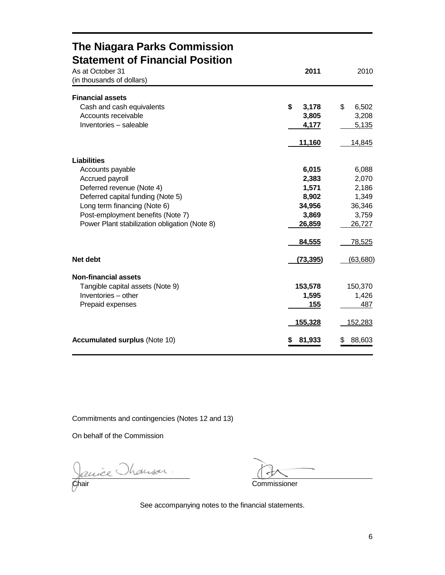### **The Niagara Parks Commission Statement of Financial Position**

| As at October 31<br>(in thousands of dollars) | 2011           | 2010         |
|-----------------------------------------------|----------------|--------------|
| <b>Financial assets</b>                       |                |              |
| Cash and cash equivalents                     | \$<br>3,178    | \$<br>6,502  |
| Accounts receivable                           | 3,805          | 3,208        |
| Inventories - saleable                        | 4,177          | 5,135        |
|                                               | <u>11,160</u>  | 14,845       |
| <b>Liabilities</b>                            |                |              |
| Accounts payable                              | 6,015          | 6,088        |
| Accrued payroll                               | 2,383          | 2,070        |
| Deferred revenue (Note 4)                     | 1,571          | 2,186        |
| Deferred capital funding (Note 5)             | 8,902          | 1,349        |
| Long term financing (Note 6)                  | 34,956         | 36,346       |
| Post-employment benefits (Note 7)             | 3,869          | 3,759        |
| Power Plant stabilization obligation (Note 8) | 26,859         | 26,727       |
|                                               | 84,555         | 78,525       |
| Net debt                                      | (73, 395)      | (63,680)     |
| <b>Non-financial assets</b>                   |                |              |
| Tangible capital assets (Note 9)              | 153,578        | 150,370      |
| Inventories - other                           | 1,595          | 1,426        |
| Prepaid expenses                              | 155            | 487          |
|                                               | <u>155,328</u> | 152,283      |
| <b>Accumulated surplus (Note 10)</b>          | 81,933         | 88,603<br>\$ |

Commitments and contingencies (Notes 12 and 13)

On behalf of the Commission

Janie Manson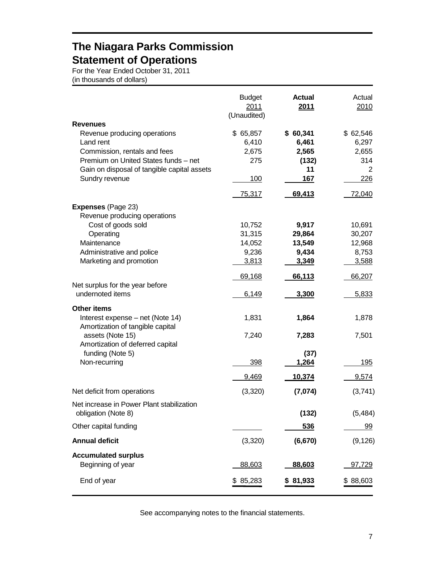## **The Niagara Parks Commission Statement of Operations**

For the Year Ended October 31, 2011 (in thousands of dollars)

|                                                      | <b>Budget</b><br>2011<br>(Unaudited) | <b>Actual</b><br>2011 | Actual<br>2010 |
|------------------------------------------------------|--------------------------------------|-----------------------|----------------|
| <b>Revenues</b>                                      |                                      |                       |                |
| Revenue producing operations                         | \$ 65,857                            | \$60,341              | \$ 62,546      |
| Land rent                                            | 6,410                                | 6,461                 | 6,297          |
| Commission, rentals and fees                         | 2,675                                | 2,565                 | 2,655          |
| Premium on United States funds - net                 | 275                                  | (132)                 | 314            |
| Gain on disposal of tangible capital assets          |                                      | 11                    | 2              |
| Sundry revenue                                       | 100                                  | 167                   | 226            |
|                                                      | 75,317                               | 69,413                | 72,040         |
| <b>Expenses (Page 23)</b>                            |                                      |                       |                |
| Revenue producing operations                         |                                      |                       |                |
| Cost of goods sold                                   | 10,752                               | 9,917                 | 10,691         |
| Operating                                            | 31,315                               | 29,864                | 30,207         |
| Maintenance                                          | 14,052                               | 13,549                | 12,968         |
| Administrative and police                            | 9,236                                | 9,434                 | 8,753          |
| Marketing and promotion                              | 3,813                                | 3,349                 | 3,588          |
|                                                      | 69,168                               | 66,113                | 66,207         |
| Net surplus for the year before<br>undernoted items  | 6,149                                | 3,300                 | 5,833          |
| <b>Other items</b>                                   |                                      |                       |                |
| Interest expense - net (Note 14)                     | 1,831                                | 1,864                 | 1,878          |
| Amortization of tangible capital                     |                                      |                       |                |
| assets (Note 15)<br>Amortization of deferred capital | 7,240                                | 7,283                 | 7,501          |
| funding (Note 5)                                     |                                      | (37)                  |                |
| Non-recurring                                        | 398                                  | 1,264                 | 195            |
|                                                      | 9,469                                | 10,374                | 9,574          |
| Net deficit from operations                          | (3,320)                              | (7,074)               | (3,741)        |
| Net increase in Power Plant stabilization            |                                      |                       |                |
| obligation (Note 8)                                  |                                      | (132)                 | (5, 484)       |
| Other capital funding                                |                                      | 536                   | <u>99</u>      |
| <b>Annual deficit</b>                                | (3,320)                              | (6, 670)              | (9, 126)       |
| <b>Accumulated surplus</b>                           |                                      |                       |                |
| Beginning of year                                    | 88,603                               | 88,603                | <u>97,729</u>  |
| End of year                                          | \$85,283                             | \$81,933              | \$88,603       |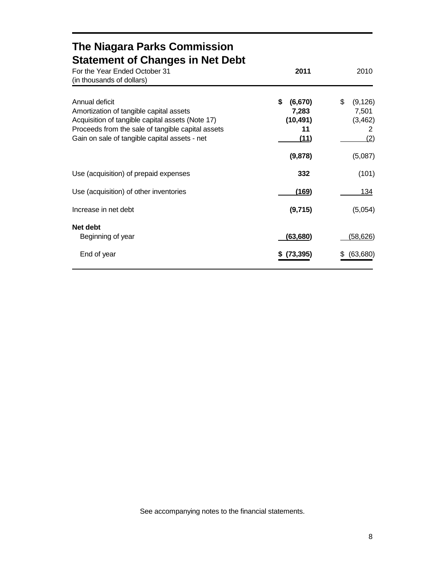| <b>The Niagara Parks Commission</b><br><b>Statement of Changes in Net Debt</b> |                                                            |  |
|--------------------------------------------------------------------------------|------------------------------------------------------------|--|
| 2011                                                                           | 2010                                                       |  |
| \$<br>(6,670)<br>7,283<br>(10, 491)<br>11<br>(11)<br>(9,878)                   | \$<br>(9, 126)<br>7,501<br>(3, 462)<br>2<br>(2)<br>(5,087) |  |
| 332                                                                            | (101)                                                      |  |
| (169)                                                                          | 134                                                        |  |
| (9,715)                                                                        | (5,054)                                                    |  |
| (63, 680)<br>(73, 395)                                                         | (58,626)<br>(63, 680)                                      |  |
|                                                                                |                                                            |  |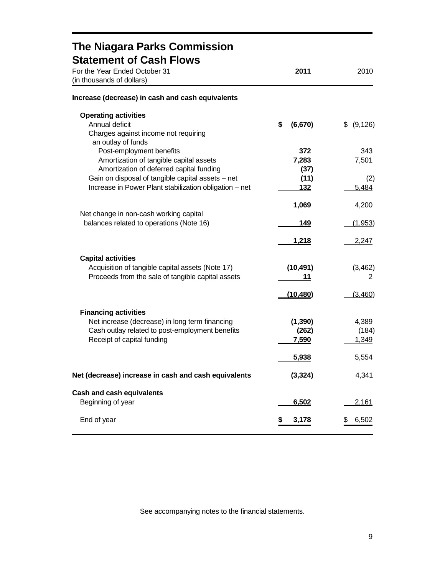| The Niagara Parks Commission                                                        |               |              |
|-------------------------------------------------------------------------------------|---------------|--------------|
| <b>Statement of Cash Flows</b>                                                      |               |              |
| For the Year Ended October 31<br>(in thousands of dollars)                          | 2011          | 2010         |
| Increase (decrease) in cash and cash equivalents                                    |               |              |
| <b>Operating activities</b>                                                         |               |              |
| Annual deficit                                                                      | \$<br>(6,670) | \$ (9,126)   |
| Charges against income not requiring                                                |               |              |
| an outlay of funds                                                                  |               |              |
| Post-employment benefits                                                            | 372           | 343<br>7,501 |
| Amortization of tangible capital assets<br>Amortization of deferred capital funding | 7,283<br>(37) |              |
| Gain on disposal of tangible capital assets - net                                   | (11)          | (2)          |
| Increase in Power Plant stabilization obligation - net                              | 132           | 5,484        |
|                                                                                     |               |              |
|                                                                                     | 1,069         | 4,200        |
| Net change in non-cash working capital                                              |               |              |
| balances related to operations (Note 16)                                            | 149           | (1,953)      |
|                                                                                     | 1,218         | 2,247        |
| <b>Capital activities</b>                                                           |               |              |
| Acquisition of tangible capital assets (Note 17)                                    | (10, 491)     | (3, 462)     |
| Proceeds from the sale of tangible capital assets                                   | 11            | 2            |
|                                                                                     |               |              |
|                                                                                     | (10, 480)     | (3,460)      |
| <b>Financing activities</b>                                                         |               |              |
| Net increase (decrease) in long term financing                                      | (1, 390)      | 4,389        |
| Cash outlay related to post-employment benefits                                     | (262)         | (184)        |
| Receipt of capital funding                                                          | 7,590         | 1,349        |
|                                                                                     | 5,938         | 5,554        |
|                                                                                     |               |              |
| Net (decrease) increase in cash and cash equivalents                                | (3, 324)      | 4,341        |
| <b>Cash and cash equivalents</b>                                                    |               |              |
| Beginning of year                                                                   | 6,502         | 2,161        |
| End of year                                                                         | 3,178<br>5    | 6,502        |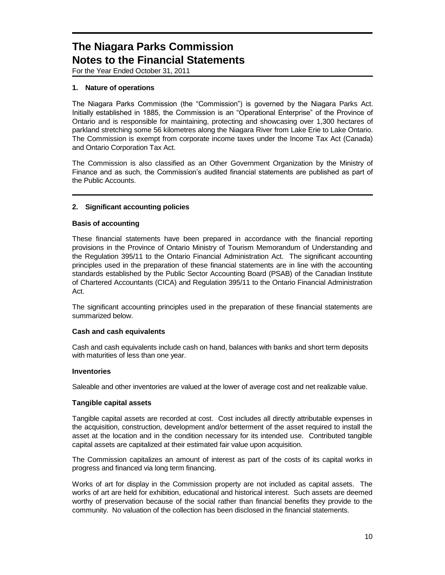For the Year Ended October 31, 2011

### **1. Nature of operations**

The Niagara Parks Commission (the "Commission") is governed by the Niagara Parks Act. Initially established in 1885, the Commission is an "Operational Enterprise" of the Province of Ontario and is responsible for maintaining, protecting and showcasing over 1,300 hectares of parkland stretching some 56 kilometres along the Niagara River from Lake Erie to Lake Ontario. The Commission is exempt from corporate income taxes under the Income Tax Act (Canada) and Ontario Corporation Tax Act.

The Commission is also classified as an Other Government Organization by the Ministry of Finance and as such, the Commission's audited financial statements are published as part of the Public Accounts.

### **2. Significant accounting policies**

### **Basis of accounting**

These financial statements have been prepared in accordance with the financial reporting provisions in the Province of Ontario Ministry of Tourism Memorandum of Understanding and the Regulation 395/11 to the Ontario Financial Administration Act. The significant accounting principles used in the preparation of these financial statements are in line with the accounting standards established by the Public Sector Accounting Board (PSAB) of the Canadian Institute of Chartered Accountants (CICA) and Regulation 395/11 to the Ontario Financial Administration Act.

The significant accounting principles used in the preparation of these financial statements are summarized below.

#### **Cash and cash equivalents**

Cash and cash equivalents include cash on hand, balances with banks and short term deposits with maturities of less than one year.

#### **Inventories**

Saleable and other inventories are valued at the lower of average cost and net realizable value.

#### **Tangible capital assets**

Tangible capital assets are recorded at cost. Cost includes all directly attributable expenses in the acquisition, construction, development and/or betterment of the asset required to install the asset at the location and in the condition necessary for its intended use. Contributed tangible capital assets are capitalized at their estimated fair value upon acquisition.

The Commission capitalizes an amount of interest as part of the costs of its capital works in progress and financed via long term financing.

Works of art for display in the Commission property are not included as capital assets. The works of art are held for exhibition, educational and historical interest. Such assets are deemed worthy of preservation because of the social rather than financial benefits they provide to the community. No valuation of the collection has been disclosed in the financial statements.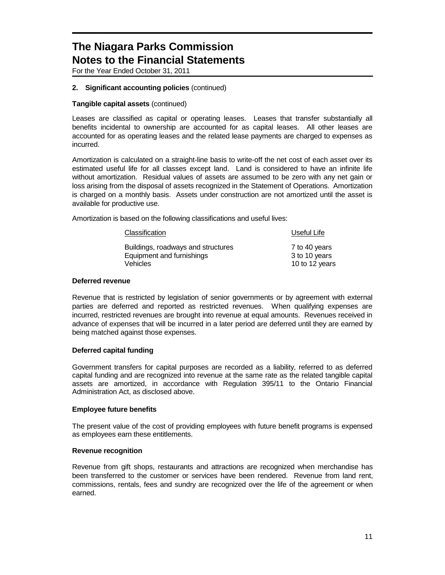For the Year Ended October 31, 2011

### **2. Significant accounting policies** (continued)

### **Tangible capital assets** (continued)

Leases are classified as capital or operating leases. Leases that transfer substantially all benefits incidental to ownership are accounted for as capital leases. All other leases are accounted for as operating leases and the related lease payments are charged to expenses as incurred.

Amortization is calculated on a straight-line basis to write-off the net cost of each asset over its estimated useful life for all classes except land. Land is considered to have an infinite life without amortization. Residual values of assets are assumed to be zero with any net gain or loss arising from the disposal of assets recognized in the Statement of Operations. Amortization is charged on a monthly basis. Assets under construction are not amortized until the asset is available for productive use.

Amortization is based on the following classifications and useful lives:

| Classification                     | Useful Life    |  |
|------------------------------------|----------------|--|
| Buildings, roadways and structures | 7 to 40 years  |  |
| Equipment and furnishings          | 3 to 10 years  |  |
| Vehicles                           | 10 to 12 years |  |

#### **Deferred revenue**

Revenue that is restricted by legislation of senior governments or by agreement with external parties are deferred and reported as restricted revenues. When qualifying expenses are incurred, restricted revenues are brought into revenue at equal amounts. Revenues received in advance of expenses that will be incurred in a later period are deferred until they are earned by being matched against those expenses.

#### **Deferred capital funding**

Government transfers for capital purposes are recorded as a liability, referred to as deferred capital funding and are recognized into revenue at the same rate as the related tangible capital assets are amortized, in accordance with Regulation 395/11 to the Ontario Financial Administration Act, as disclosed above.

#### **Employee future benefits**

The present value of the cost of providing employees with future benefit programs is expensed as employees earn these entitlements.

#### **Revenue recognition**

Revenue from gift shops, restaurants and attractions are recognized when merchandise has been transferred to the customer or services have been rendered. Revenue from land rent, commissions, rentals, fees and sundry are recognized over the life of the agreement or when earned.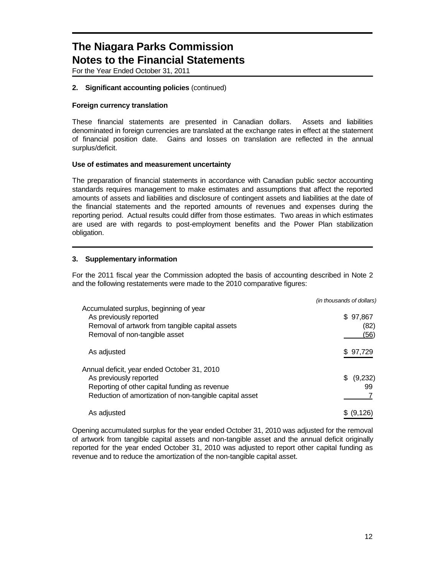For the Year Ended October 31, 2011

### **2. Significant accounting policies** (continued)

### **Foreign currency translation**

These financial statements are presented in Canadian dollars. Assets and liabilities denominated in foreign currencies are translated at the exchange rates in effect at the statement of financial position date. Gains and losses on translation are reflected in the annual surplus/deficit.

#### **Use of estimates and measurement uncertainty**

The preparation of financial statements in accordance with Canadian public sector accounting standards requires management to make estimates and assumptions that affect the reported amounts of assets and liabilities and disclosure of contingent assets and liabilities at the date of the financial statements and the reported amounts of revenues and expenses during the reporting period. Actual results could differ from those estimates. Two areas in which estimates are used are with regards to post-employment benefits and the Power Plan stabilization obligation.

### **3. Supplementary information**

For the 2011 fiscal year the Commission adopted the basis of accounting described in Note 2 and the following restatements were made to the 2010 comparative figures:

|                                                                                                                                                                                   | (in thousands of dollars) |
|-----------------------------------------------------------------------------------------------------------------------------------------------------------------------------------|---------------------------|
| Accumulated surplus, beginning of year<br>As previously reported<br>Removal of artwork from tangible capital assets<br>Removal of non-tangible asset                              | \$97,867<br>(82)<br>(56)  |
| As adjusted                                                                                                                                                                       | \$97,729                  |
| Annual deficit, year ended October 31, 2010<br>As previously reported<br>Reporting of other capital funding as revenue<br>Reduction of amortization of non-tangible capital asset | (9,232)<br>99             |
| As adjusted                                                                                                                                                                       | \$ (9,126)                |

Opening accumulated surplus for the year ended October 31, 2010 was adjusted for the removal of artwork from tangible capital assets and non-tangible asset and the annual deficit originally reported for the year ended October 31, 2010 was adjusted to report other capital funding as revenue and to reduce the amortization of the non-tangible capital asset.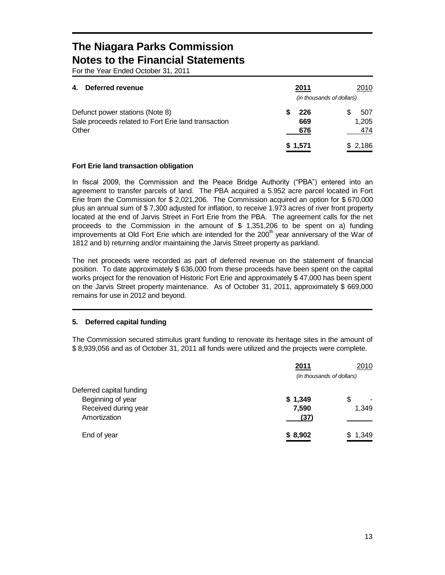For the Year Ended October 31, 2011

| Deferred revenue<br>4.                              | 2011    | 2010                      |
|-----------------------------------------------------|---------|---------------------------|
|                                                     |         | (in thousands of dollars) |
| Defunct power stations (Note 8)                     | 226     | 507                       |
| Sale proceeds related to Fort Erie land transaction | 669     | 1,205                     |
| Other                                               | 676     | 474                       |
|                                                     | \$1,571 | \$2,186                   |

### **Fort Erie land transaction obligation**

In fiscal 2009, the Commission and the Peace Bridge Authority ("PBA") entered into an agreement to transfer parcels of land. The PBA acquired a 5.952 acre parcel located in Fort Erie from the Commission for \$ 2,021,206. The Commission acquired an option for \$ 670,000 plus an annual sum of \$ 7,300 adjusted for inflation, to receive 1.973 acres of river front property located at the end of Jarvis Street in Fort Erie from the PBA. The agreement calls for the net proceeds to the Commission in the amount of \$ 1,351,206 to be spent on a) funding improvements at Old Fort Erie which are intended for the 200<sup>th</sup> year anniversary of the War of 1812 and b) returning and/or maintaining the Jarvis Street property as parkland.

The net proceeds were recorded as part of deferred revenue on the statement of financial position. To date approximately \$ 636,000 from these proceeds have been spent on the capital works project for the renovation of Historic Fort Erie and approximately \$ 47,000 has been spent on the Jarvis Street property maintenance. As of October 31, 2011, approximately \$ 669,000 remains for use in 2012 and beyond.

### **5. Deferred capital funding**

The Commission secured stimulus grant funding to renovate its heritage sites in the amount of \$ 8,939,056 and as of October 31, 2011 all funds were utilized and the projects were complete.

|                          | 2011                      | 2010                           |
|--------------------------|---------------------------|--------------------------------|
|                          | (in thousands of dollars) |                                |
| Deferred capital funding |                           |                                |
| Beginning of year        | \$1,349                   | \$<br>$\overline{\phantom{0}}$ |
| Received during year     | 7,590                     | 1,349                          |
| Amortization             | (37)                      |                                |
| End of year              | \$8,902                   | \$1,349                        |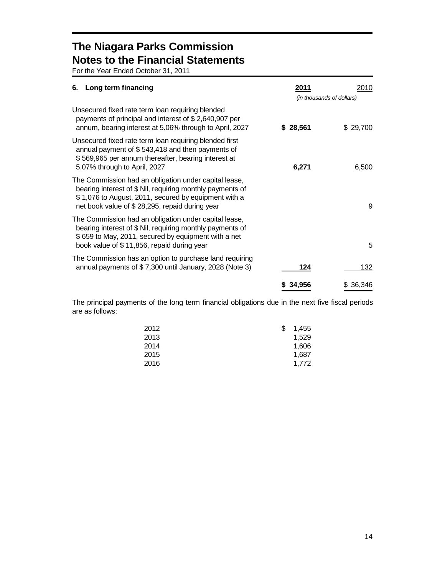For the Year Ended October 31, 2011

| Long term financing<br>6.                                                                                                                                                                                                    | 2011                      | 2010     |
|------------------------------------------------------------------------------------------------------------------------------------------------------------------------------------------------------------------------------|---------------------------|----------|
|                                                                                                                                                                                                                              | (in thousands of dollars) |          |
| Unsecured fixed rate term loan requiring blended<br>payments of principal and interest of \$2,640,907 per<br>annum, bearing interest at 5.06% through to April, 2027                                                         | \$28,561                  | \$29,700 |
| Unsecured fixed rate term loan requiring blended first<br>annual payment of \$543,418 and then payments of<br>\$569,965 per annum thereafter, bearing interest at<br>5.07% through to April, 2027                            | 6,271                     | 6,500    |
| The Commission had an obligation under capital lease,<br>bearing interest of \$ Nil, requiring monthly payments of<br>\$1,076 to August, 2011, secured by equipment with a<br>net book value of \$28,295, repaid during year |                           | 9        |
| The Commission had an obligation under capital lease,<br>bearing interest of \$ Nil, requiring monthly payments of<br>\$659 to May, 2011, secured by equipment with a net<br>book value of \$11,856, repaid during year      |                           | 5        |
| The Commission has an option to purchase land requiring<br>annual payments of \$7,300 until January, 2028 (Note 3)                                                                                                           | 124                       | 132      |
|                                                                                                                                                                                                                              | 34,956                    | 36,346   |

The principal payments of the long term financial obligations due in the next five fiscal periods are as follows:

| 2012 | S | 1.455 |
|------|---|-------|
| 2013 |   | 1,529 |
| 2014 |   | 1,606 |
| 2015 |   | 1.687 |
| 2016 |   | 1.772 |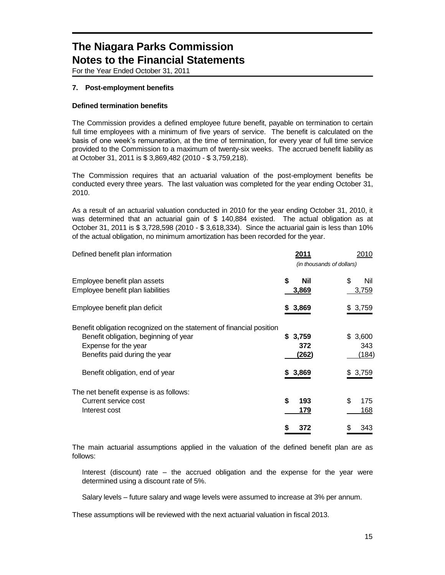For the Year Ended October 31, 2011

### **7. Post-employment benefits**

### **Defined termination benefits**

The Commission provides a defined employee future benefit, payable on termination to certain full time employees with a minimum of five years of service. The benefit is calculated on the basis of one week's remuneration, at the time of termination, for every year of full time service provided to the Commission to a maximum of twenty-six weeks. The accrued benefit liability as at October 31, 2011 is \$ 3,869,482 (2010 - \$ 3,759,218).

The Commission requires that an actuarial valuation of the post-employment benefits be conducted every three years. The last valuation was completed for the year ending October 31, 2010.

As a result of an actuarial valuation conducted in 2010 for the year ending October 31, 2010, it was determined that an actuarial gain of \$ 140,884 existed. The actual obligation as at October 31, 2011 is \$ 3,728,598 (2010 - \$ 3,618,334). Since the actuarial gain is less than 10% of the actual obligation, no minimum amortization has been recorded for the year.

| Defined benefit plan information                                                                                                                                       | 2011                      | 2010                    |
|------------------------------------------------------------------------------------------------------------------------------------------------------------------------|---------------------------|-------------------------|
|                                                                                                                                                                        | (in thousands of dollars) |                         |
| Employee benefit plan assets<br>Employee benefit plan liabilities                                                                                                      | \$<br>Nil<br>3,869        | \$<br>Nil<br>3,759      |
| Employee benefit plan deficit                                                                                                                                          | 3,869<br>\$               | \$3,759                 |
| Benefit obligation recognized on the statement of financial position<br>Benefit obligation, beginning of year<br>Expense for the year<br>Benefits paid during the year | \$3,759<br>372<br>(262)   | \$3,600<br>343<br>(184) |
| Benefit obligation, end of year                                                                                                                                        | 3,869<br>S.               | \$3,759                 |
| The net benefit expense is as follows:<br>Current service cost<br>Interest cost                                                                                        | \$<br>193<br>179          | \$<br>175<br>168        |
|                                                                                                                                                                        | 372<br>S                  | \$<br>343               |

The main actuarial assumptions applied in the valuation of the defined benefit plan are as follows:

Interest (discount) rate – the accrued obligation and the expense for the year were determined using a discount rate of 5%.

Salary levels – future salary and wage levels were assumed to increase at 3% per annum.

These assumptions will be reviewed with the next actuarial valuation in fiscal 2013.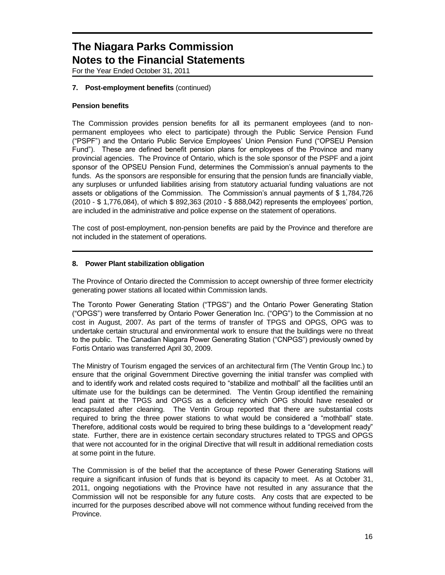For the Year Ended October 31, 2011

### **7. Post-employment benefits** (continued)

### **Pension benefits**

The Commission provides pension benefits for all its permanent employees (and to nonpermanent employees who elect to participate) through the Public Service Pension Fund ("PSPF") and the Ontario Public Service Employees' Union Pension Fund ("OPSEU Pension Fund"). These are defined benefit pension plans for employees of the Province and many provincial agencies. The Province of Ontario, which is the sole sponsor of the PSPF and a joint sponsor of the OPSEU Pension Fund, determines the Commission's annual payments to the funds. As the sponsors are responsible for ensuring that the pension funds are financially viable, any surpluses or unfunded liabilities arising from statutory actuarial funding valuations are not assets or obligations of the Commission. The Commission's annual payments of \$ 1,784,726 (2010 - \$ 1,776,084), of which \$ 892,363 (2010 - \$ 888,042) represents the employees' portion, are included in the administrative and police expense on the statement of operations.

The cost of post-employment, non-pension benefits are paid by the Province and therefore are not included in the statement of operations.

#### **8. Power Plant stabilization obligation**

The Province of Ontario directed the Commission to accept ownership of three former electricity generating power stations all located within Commission lands.

The Toronto Power Generating Station ("TPGS") and the Ontario Power Generating Station ("OPGS") were transferred by Ontario Power Generation Inc. ("OPG") to the Commission at no cost in August, 2007. As part of the terms of transfer of TPGS and OPGS, OPG was to undertake certain structural and environmental work to ensure that the buildings were no threat to the public. The Canadian Niagara Power Generating Station ("CNPGS") previously owned by Fortis Ontario was transferred April 30, 2009.

The Ministry of Tourism engaged the services of an architectural firm (The Ventin Group Inc.) to ensure that the original Government Directive governing the initial transfer was complied with and to identify work and related costs required to "stabilize and mothball" all the facilities until an ultimate use for the buildings can be determined. The Ventin Group identified the remaining lead paint at the TPGS and OPGS as a deficiency which OPG should have resealed or encapsulated after cleaning. The Ventin Group reported that there are substantial costs required to bring the three power stations to what would be considered a "mothball" state. Therefore, additional costs would be required to bring these buildings to a "development ready" state. Further, there are in existence certain secondary structures related to TPGS and OPGS that were not accounted for in the original Directive that will result in additional remediation costs at some point in the future.

The Commission is of the belief that the acceptance of these Power Generating Stations will require a significant infusion of funds that is beyond its capacity to meet. As at October 31, 2011, ongoing negotiations with the Province have not resulted in any assurance that the Commission will not be responsible for any future costs. Any costs that are expected to be incurred for the purposes described above will not commence without funding received from the Province.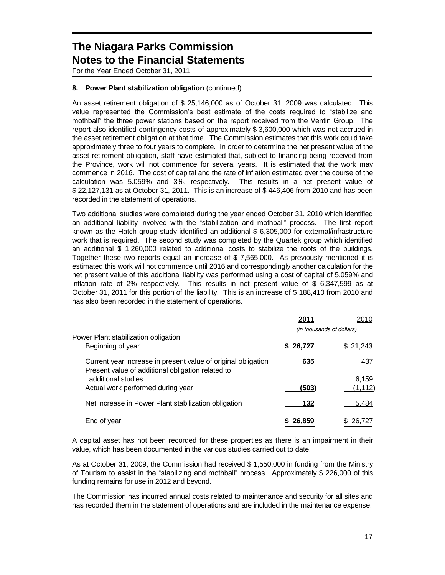For the Year Ended October 31, 2011

### **8. Power Plant stabilization obligation** (continued)

An asset retirement obligation of \$ 25,146,000 as of October 31, 2009 was calculated. This value represented the Commission's best estimate of the costs required to "stabilize and mothball" the three power stations based on the report received from the Ventin Group. The report also identified contingency costs of approximately \$ 3,600,000 which was not accrued in the asset retirement obligation at that time. The Commission estimates that this work could take approximately three to four years to complete. In order to determine the net present value of the asset retirement obligation, staff have estimated that, subject to financing being received from the Province, work will not commence for several years. It is estimated that the work may commence in 2016. The cost of capital and the rate of inflation estimated over the course of the calculation was 5.059% and 3%, respectively. This results in a net present value of \$ 22,127,131 as at October 31, 2011. This is an increase of \$ 446,406 from 2010 and has been recorded in the statement of operations.

Two additional studies were completed during the year ended October 31, 2010 which identified an additional liability involved with the "stabilization and mothball" process. The first report known as the Hatch group study identified an additional \$ 6,305,000 for external/infrastructure work that is required. The second study was completed by the Quartek group which identified an additional \$ 1,260,000 related to additional costs to stabilize the roofs of the buildings. Together these two reports equal an increase of \$ 7,565,000. As previously mentioned it is estimated this work will not commence until 2016 and correspondingly another calculation for the net present value of this additional liability was performed using a cost of capital of 5.059% and inflation rate of 2% respectively. This results in net present value of \$ 6,347,599 as at October 31, 2011 for this portion of the liability. This is an increase of \$ 188,410 from 2010 and has also been recorded in the statement of operations.

|                                                                                                                    | 2011                      | 2010     |
|--------------------------------------------------------------------------------------------------------------------|---------------------------|----------|
|                                                                                                                    | (in thousands of dollars) |          |
| Power Plant stabilization obligation<br>Beginning of year                                                          | \$ 26,727                 | \$21,243 |
| Current year increase in present value of original obligation<br>Present value of additional obligation related to | 635                       | 437      |
| additional studies                                                                                                 |                           | 6.159    |
| Actual work performed during year                                                                                  | (503)                     | (1, 112) |
| Net increase in Power Plant stabilization obligation                                                               | 132                       | 5,484    |
| End of year                                                                                                        | \$26.859                  | 26,727   |

A capital asset has not been recorded for these properties as there is an impairment in their value, which has been documented in the various studies carried out to date.

As at October 31, 2009, the Commission had received \$ 1,550,000 in funding from the Ministry of Tourism to assist in the "stabilizing and mothball" process. Approximately \$ 226,000 of this funding remains for use in 2012 and beyond.

The Commission has incurred annual costs related to maintenance and security for all sites and has recorded them in the statement of operations and are included in the maintenance expense.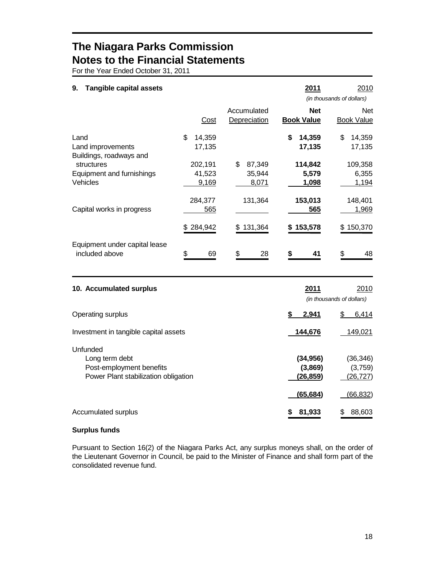For the Year Ended October 31, 2011

| <b>Tangible capital assets</b><br>9.                 |                            |                                 | 2011                            | 2010<br>(in thousands of dollars) |
|------------------------------------------------------|----------------------------|---------------------------------|---------------------------------|-----------------------------------|
|                                                      | Cost                       | Accumulated<br>Depreciation     | <b>Net</b><br><b>Book Value</b> | <b>Net</b><br><b>Book Value</b>   |
| Land<br>Land improvements<br>Buildings, roadways and | \$.<br>14,359<br>17,135    |                                 | \$<br>14,359<br>17,135          | \$<br>14,359<br>17,135            |
| structures<br>Equipment and furnishings<br>Vehicles  | 202,191<br>41,523<br>9,169 | 87,349<br>\$<br>35,944<br>8,071 | 114,842<br>5,579<br>1,098       | 109,358<br>6,355<br>1,194         |
| Capital works in progress                            | 284,377<br>565             | 131,364                         | 153,013<br>565                  | 148,401<br>1,969                  |
| Equipment under capital lease<br>included above      | 284,942<br>\$<br>69        | 131,364<br>S.<br>\$<br>28       | 153,578<br>\$<br>41             | 150,370<br>\$.<br>\$<br>48        |

| 10. Accumulated surplus                                                                        | 2011<br>(in thousands of dollars)       | 2010                             |
|------------------------------------------------------------------------------------------------|-----------------------------------------|----------------------------------|
| Operating surplus                                                                              | 2,941                                   | 6,414<br>\$                      |
| Investment in tangible capital assets                                                          | 144,676                                 | 149,021                          |
| Unfunded<br>Long term debt<br>Post-employment benefits<br>Power Plant stabilization obligation | (34, 956)<br>(3,869)<br><u>(26,859)</u> | (36,346)<br>(3,759)<br>(26, 727) |
|                                                                                                | (65, 684)                               | (66, 832)                        |
| Accumulated surplus                                                                            | 81,933                                  | 88,603                           |

### **Surplus funds**

Pursuant to Section 16(2) of the Niagara Parks Act, any surplus moneys shall, on the order of the Lieutenant Governor in Council, be paid to the Minister of Finance and shall form part of the consolidated revenue fund.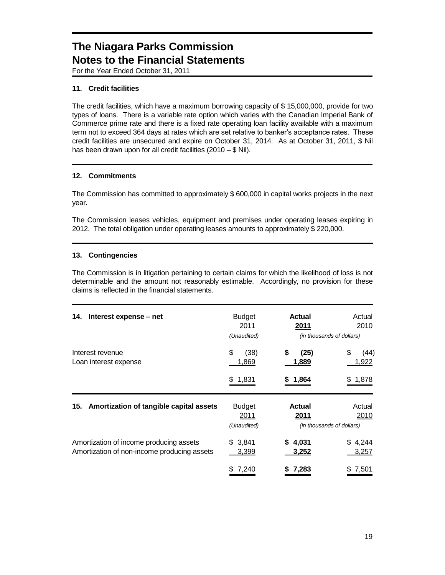For the Year Ended October 31, 2011

### **11. Credit facilities**

The credit facilities, which have a maximum borrowing capacity of \$ 15,000,000, provide for two types of loans. There is a variable rate option which varies with the Canadian Imperial Bank of Commerce prime rate and there is a fixed rate operating loan facility available with a maximum term not to exceed 364 days at rates which are set relative to banker's acceptance rates. These credit facilities are unsecured and expire on October 31, 2014. As at October 31, 2011, \$ Nil has been drawn upon for all credit facilities (2010 – \$ Nil).

### **12. Commitments**

The Commission has committed to approximately \$ 600,000 in capital works projects in the next year.

The Commission leases vehicles, equipment and premises under operating leases expiring in 2012. The total obligation under operating leases amounts to approximately \$ 220,000.

#### **13. Contingencies**

The Commission is in litigation pertaining to certain claims for which the likelihood of loss is not determinable and the amount not reasonably estimable. Accordingly, no provision for these claims is reflected in the financial statements.

| 14.<br>Interest expense – net                                                          | <b>Budget</b><br>2011<br>(Unaudited) | Actual<br>2011<br>(in thousands of dollars)        | Actual<br>2010        |
|----------------------------------------------------------------------------------------|--------------------------------------|----------------------------------------------------|-----------------------|
| Interest revenue<br>Loan interest expense                                              | \$<br>(38)<br>1,869                  | \$<br>(25)<br>1,889                                | \$<br>(44)<br>1,922   |
|                                                                                        | 1,831<br>\$                          | 1,864<br>S.                                        | 1,878<br>S            |
| Amortization of tangible capital assets<br>15.                                         | <b>Budget</b><br>2011<br>(Unaudited) | <b>Actual</b><br>2011<br>(in thousands of dollars) | Actual<br>2010        |
| Amortization of income producing assets<br>Amortization of non-income producing assets | \$3,841<br>3,399                     | \$4,031<br>3,252                                   | 4,244<br>\$.<br>3,257 |
|                                                                                        | 7,240<br>S                           | 7,283<br>S.                                        | 7,501<br>\$           |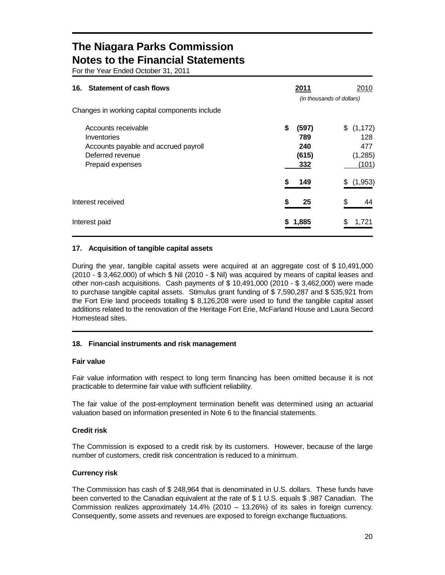For the Year Ended October 31, 2011

| <b>Statement of cash flows</b><br>16.                                                                              | 2011<br>(in thousands of dollars)         | 2010                                        |
|--------------------------------------------------------------------------------------------------------------------|-------------------------------------------|---------------------------------------------|
| Changes in working capital components include                                                                      |                                           |                                             |
| Accounts receivable<br>Inventories<br>Accounts payable and accrued payroll<br>Deferred revenue<br>Prepaid expenses | \$<br>(597)<br>789<br>240<br>(615)<br>332 | \$(1,172)<br>128<br>477<br>(1,285)<br>(101) |
|                                                                                                                    | S<br>149                                  | (1,953)<br>S                                |
| Interest received                                                                                                  | S<br>25                                   | \$<br>44                                    |
| Interest paid                                                                                                      | 1,885                                     | 1,721                                       |

### **17. Acquisition of tangible capital assets**

During the year, tangible capital assets were acquired at an aggregate cost of \$ 10,491,000 (2010 - \$ 3,462,000) of which \$ Nil (2010 - \$ Nil) was acquired by means of capital leases and other non-cash acquisitions. Cash payments of \$ 10,491,000 (2010 - \$ 3,462,000) were made to purchase tangible capital assets. Stimulus grant funding of \$ 7,590,287 and \$ 535,921 from the Fort Erie land proceeds totalling \$ 8,126,208 were used to fund the tangible capital asset additions related to the renovation of the Heritage Fort Erie, McFarland House and Laura Secord Homestead sites.

### **18. Financial instruments and risk management**

### **Fair value**

Fair value information with respect to long term financing has been omitted because it is not practicable to determine fair value with sufficient reliability.

The fair value of the post-employment termination benefit was determined using an actuarial valuation based on information presented in Note 6 to the financial statements.

### **Credit risk**

The Commission is exposed to a credit risk by its customers. However, because of the large number of customers, credit risk concentration is reduced to a minimum.

### **Currency risk**

The Commission has cash of \$ 248,964 that is denominated in U.S. dollars. These funds have been converted to the Canadian equivalent at the rate of \$ 1 U.S. equals \$ .987 Canadian. The Commission realizes approximately 14.4% (2010 – 13.26%) of its sales in foreign currency. Consequently, some assets and revenues are exposed to foreign exchange fluctuations.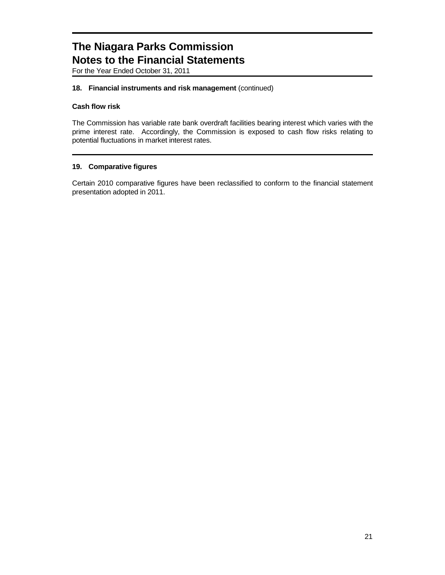For the Year Ended October 31, 2011

### **18. Financial instruments and risk management** (continued)

### **Cash flow risk**

The Commission has variable rate bank overdraft facilities bearing interest which varies with the prime interest rate. Accordingly, the Commission is exposed to cash flow risks relating to potential fluctuations in market interest rates.

### **19. Comparative figures**

Certain 2010 comparative figures have been reclassified to conform to the financial statement presentation adopted in 2011.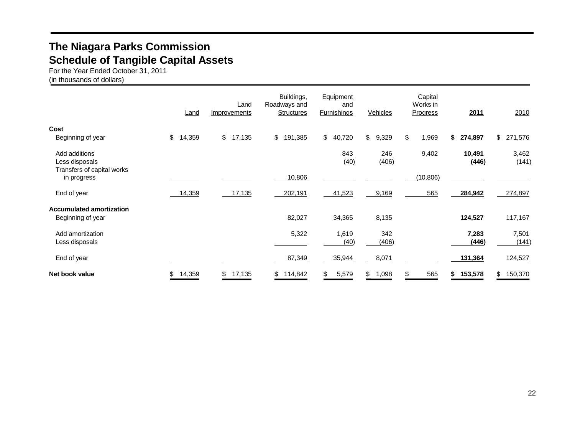## **The Niagara Parks Commission Schedule of Tangible Capital Assets**

For the Year Ended October 31, 2011 (in thousands of dollars)

|                                                               | Land         | Land<br>Improvements | Buildings,<br>Roadways and<br><b>Structures</b> | Equipment<br>and<br><b>Furnishings</b> | Vehicles     | Capital<br>Works in<br>Progress | 2011            | 2010           |
|---------------------------------------------------------------|--------------|----------------------|-------------------------------------------------|----------------------------------------|--------------|---------------------------------|-----------------|----------------|
| Cost<br>Beginning of year                                     | 14,359<br>\$ | \$<br>17,135         | \$<br>191,385                                   | \$40,720                               | \$<br>9,329  | \$<br>1,969                     | \$274,897       | \$ 271,576     |
| Add additions<br>Less disposals<br>Transfers of capital works |              |                      |                                                 | 843<br>(40)                            | 246<br>(406) | 9,402                           | 10,491<br>(446) | 3,462<br>(141) |
| in progress                                                   |              |                      | 10,806                                          |                                        |              | (10, 806)                       |                 |                |
| End of year                                                   | 14,359       | 17,135               | 202,191                                         | 41,523                                 | 9,169        | 565                             | 284,942         | 274,897        |
| <b>Accumulated amortization</b><br>Beginning of year          |              |                      | 82,027                                          | 34,365                                 | 8,135        |                                 | 124,527         | 117,167        |
| Add amortization<br>Less disposals                            |              |                      | 5,322                                           | 1,619<br>(40)                          | 342<br>(406) |                                 | 7,283<br>(446)  | 7,501<br>(141) |
| End of year                                                   |              |                      | 87,349                                          | 35,944                                 | 8,071        |                                 | 131,364         | 124,527        |
| Net book value                                                | 14,359<br>\$ | \$<br>17,135         | \$<br>114,842                                   | \$<br>5,579                            | \$<br>1,098  | \$<br>565                       | 153,578<br>\$   | \$<br>150,370  |